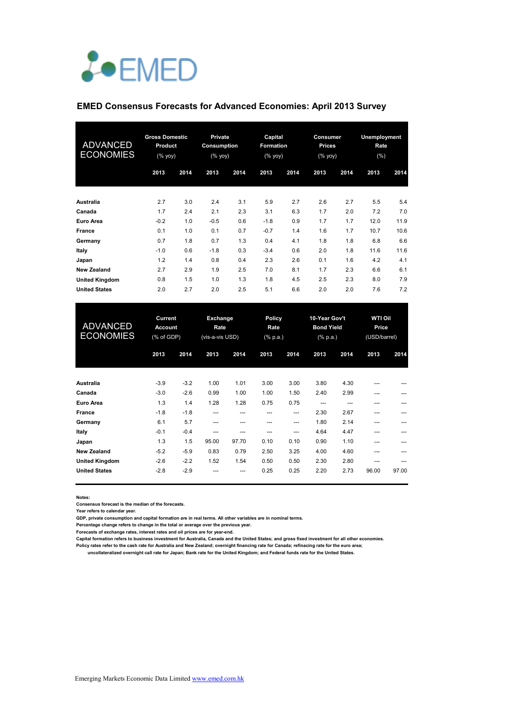# *L*•EMED

#### **EMED Consensus Forecasts for Advanced Economies: April 2013 Survey**

| <b>ADVANCED</b><br><b>ECONOMIES</b> | <b>Gross Domestic</b><br><b>Product</b><br>(% yoy) |      | Private<br>Consumption<br>(% yoy) |      | Capital<br><b>Formation</b><br>(% yoy) |      | Consumer<br><b>Prices</b><br>$(%$ (% yoy) |      | <b>Unemployment</b><br>Rate<br>(% ) |      |
|-------------------------------------|----------------------------------------------------|------|-----------------------------------|------|----------------------------------------|------|-------------------------------------------|------|-------------------------------------|------|
|                                     | 2013                                               | 2014 | 2013                              | 2014 | 2013                                   | 2014 | 2013                                      | 2014 | 2013                                | 2014 |
| Australia                           | 2.7                                                | 3.0  | 2.4                               | 3.1  | 5.9                                    | 2.7  | 2.6                                       | 2.7  | 5.5                                 | 5.4  |
| Canada                              | 1.7                                                | 2.4  | 2.1                               | 2.3  | 3.1                                    | 6.3  | 1.7                                       | 2.0  | 7.2                                 | 7.0  |
| <b>Euro Area</b>                    | $-0.2$                                             | 1.0  | $-0.5$                            | 0.6  | $-1.8$                                 | 0.9  | 1.7                                       | 1.7  | 12.0                                | 11.9 |
| <b>France</b>                       | 0.1                                                | 1.0  | 0.1                               | 0.7  | $-0.7$                                 | 1.4  | 1.6                                       | 1.7  | 10.7                                | 10.6 |
| Germany                             | 0.7                                                | 1.8  | 0.7                               | 1.3  | 0.4                                    | 4.1  | 1.8                                       | 1.8  | 6.8                                 | 6.6  |
| Italy                               | $-1.0$                                             | 0.6  | $-1.8$                            | 0.3  | $-3.4$                                 | 0.6  | 2.0                                       | 1.8  | 11.6                                | 11.6 |
| Japan                               | 1.2                                                | 1.4  | 0.8                               | 0.4  | 2.3                                    | 2.6  | 0.1                                       | 1.6  | 4.2                                 | 4.1  |
| <b>New Zealand</b>                  | 2.7                                                | 2.9  | 1.9                               | 2.5  | 7.0                                    | 8.1  | 1.7                                       | 2.3  | 6.6                                 | 6.1  |
| <b>United Kingdom</b>               | 0.8                                                | 1.5  | 1.0                               | 1.3  | 1.8                                    | 4.5  | 2.5                                       | 2.3  | 8.0                                 | 7.9  |
| <b>United States</b>                | 2.0                                                | 2.7  | 2.0                               | 2.5  | 5.1                                    | 6.6  | 2.0                                       | 2.0  | 7.6                                 | 7.2  |

| <b>ADVANCED</b><br><b>ECONOMIES</b> | <b>Current</b><br><b>Account</b><br>(% of GDP) |        | Exchange<br>Rate<br>(vis-a-vis USD) |       | <b>Policy</b><br>Rate<br>$(% \mathbb{R}^2)$ (% p.a.) |      | 10-Year Gov't<br><b>Bond Yield</b><br>$(% \mathbb{R}^2)$ (% p.a.) |      | <b>WTI Oil</b><br>Price<br>(USD/barrel) |       |
|-------------------------------------|------------------------------------------------|--------|-------------------------------------|-------|------------------------------------------------------|------|-------------------------------------------------------------------|------|-----------------------------------------|-------|
|                                     | 2013                                           | 2014   | 2013                                | 2014  | 2013                                                 | 2014 | 2013                                                              | 2014 | 2013                                    | 2014  |
| Australia                           | $-3.9$                                         | $-3.2$ | 1.00                                | 1.01  | 3.00                                                 | 3.00 | 3.80                                                              | 4.30 | ---                                     |       |
| Canada                              | $-3.0$                                         | $-2.6$ | 0.99                                | 1.00  | 1.00                                                 | 1.50 | 2.40                                                              | 2.99 | ---                                     |       |
| Euro Area                           | 1.3                                            | 1.4    | 1.28                                | 1.28  | 0.75                                                 | 0.75 | ---                                                               | ---  | ---                                     |       |
| <b>France</b>                       | $-1.8$                                         | $-1.8$ | ---                                 | ---   |                                                      | ---  | 2.30                                                              | 2.67 | ---                                     |       |
| Germany                             | 6.1                                            | 5.7    | ---                                 | ---   | ---                                                  | ---  | 1.80                                                              | 2.14 | ---                                     |       |
| Italy                               | $-0.1$                                         | $-0.4$ | ---                                 | ---   | ---                                                  | ---  | 4.64                                                              | 4.47 | ---                                     |       |
| Japan                               | 1.3                                            | 1.5    | 95.00                               | 97.70 | 0.10                                                 | 0.10 | 0.90                                                              | 1.10 | ---                                     |       |
| <b>New Zealand</b>                  | $-5.2$                                         | $-5.9$ | 0.83                                | 0.79  | 2.50                                                 | 3.25 | 4.00                                                              | 4.60 | $---$                                   |       |
| <b>United Kingdom</b>               | $-2.6$                                         | $-2.2$ | 1.52                                | 1.54  | 0.50                                                 | 0.50 | 2.30                                                              | 2.80 | ---                                     |       |
| <b>United States</b>                | $-2.8$                                         | $-2.9$ |                                     | ---   | 0.25                                                 | 0.25 | 2.20                                                              | 2.73 | 96.00                                   | 97.00 |

**Notes:** 

**Consensus forecast is the median of the forecasts.**

**Year refers to calendar year.**

**GDP, private consumption and capital formation are in real terms. All other variables are in nominal terms.**

**Percentage change refers to change in the total or average over the previous year.**

**Forecasts of exchange rates, interest rates and oil prices are for year-end.**

**Capital formation refers to business investment for Australia, Canada and the United States; and gross fixed investment for all other economies. Policy rates refer to the cash rate for Australia and New Zealand; overnight financing rate for Canada; refinacing rate for the euro area;** 

 **uncollateralized overnight call rate for Japan; Bank rate for the United Kingdom; and Federal funds rate for the United States.**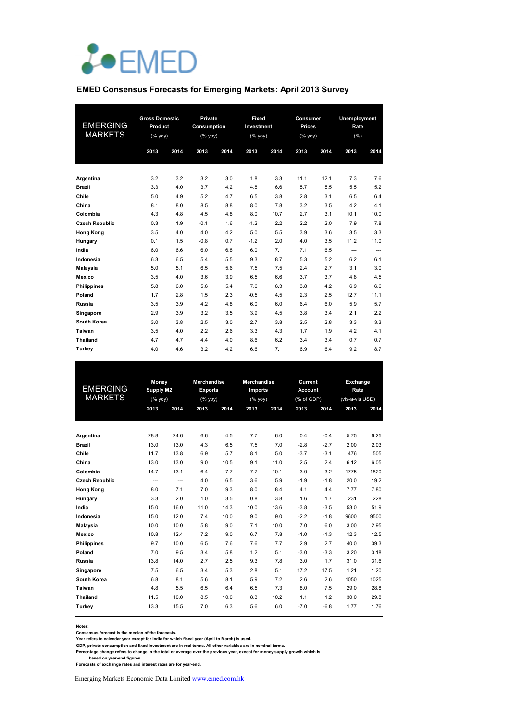

#### **EMED Consensus Forecasts for Emerging Markets: April 2013 Survey**

| <b>EMERGING</b><br><b>MARKETS</b> | <b>Gross Domestic</b><br>Product<br>(% yoy) |      | Private<br>Consumption<br>(% yoy) |      | Fixed<br>Investment<br>(% yoy) |      | Consumer<br><b>Prices</b><br>(% yoy) |      | <b>Unemployment</b><br>Rate<br>(% ) |      |
|-----------------------------------|---------------------------------------------|------|-----------------------------------|------|--------------------------------|------|--------------------------------------|------|-------------------------------------|------|
|                                   | 2013                                        | 2014 | 2013                              | 2014 | 2013                           | 2014 | 2013                                 | 2014 | 2013                                | 2014 |
|                                   |                                             |      |                                   |      |                                |      |                                      |      |                                     |      |
| Argentina                         | 3.2                                         | 3.2  | 3.2                               | 3.0  | 1.8                            | 3.3  | 11.1                                 | 12.1 | 7.3                                 | 7.6  |
| <b>Brazil</b>                     | 3.3                                         | 4.0  | 3.7                               | 4.2  | 4.8                            | 6.6  | 5.7                                  | 5.5  | 5.5                                 | 5.2  |
| Chile                             | 5.0                                         | 4.9  | 5.2                               | 4.7  | 6.5                            | 3.8  | 2.8                                  | 3.1  | 6.5                                 | 6.4  |
| China                             | 8.1                                         | 8.0  | 8.5                               | 8.8  | 8.0                            | 7.8  | 3.2                                  | 3.5  | 4.2                                 | 4.1  |
| Colombia                          | 4.3                                         | 4.8  | 4.5                               | 4.8  | 8.0                            | 10.7 | 2.7                                  | 3.1  | 10.1                                | 10.0 |
| <b>Czech Republic</b>             | 0.3                                         | 1.9  | $-0.1$                            | 1.6  | $-1.2$                         | 2.2  | 2.2                                  | 2.0  | 7.9                                 | 7.8  |
| <b>Hong Kong</b>                  | 3.5                                         | 4.0  | 4.0                               | 4.2  | 5.0                            | 5.5  | 3.9                                  | 3.6  | 3.5                                 | 3.3  |
| Hungary                           | 0.1                                         | 1.5  | $-0.8$                            | 0.7  | $-1.2$                         | 2.0  | 4.0                                  | 3.5  | 11.2                                | 11.0 |
| India                             | 6.0                                         | 6.6  | 6.0                               | 6.8  | 6.0                            | 7.1  | 7.1                                  | 6.5  | ---                                 | ---  |
| Indonesia                         | 6.3                                         | 6.5  | 5.4                               | 5.5  | 9.3                            | 8.7  | 5.3                                  | 5.2  | 6.2                                 | 6.1  |
| Malaysia                          | 5.0                                         | 5.1  | 6.5                               | 5.6  | 7.5                            | 7.5  | 2.4                                  | 2.7  | 3.1                                 | 3.0  |
| <b>Mexico</b>                     | 3.5                                         | 4.0  | 3.6                               | 3.9  | 6.5                            | 6.6  | 3.7                                  | 3.7  | 4.8                                 | 4.5  |
| <b>Philippines</b>                | 5.8                                         | 6.0  | 5.6                               | 5.4  | 7.6                            | 6.3  | 3.8                                  | 4.2  | 6.9                                 | 6.6  |
| Poland                            | 1.7                                         | 2.8  | 1.5                               | 2.3  | $-0.5$                         | 4.5  | 2.3                                  | 2.5  | 12.7                                | 11.1 |
| Russia                            | 3.5                                         | 3.9  | 4.2                               | 4.8  | 6.0                            | 6.0  | 6.4                                  | 6.0  | 5.9                                 | 5.7  |
| Singapore                         | 2.9                                         | 3.9  | 3.2                               | 3.5  | 3.9                            | 4.5  | 3.8                                  | 3.4  | 2.1                                 | 2.2  |
| <b>South Korea</b>                | 3.0                                         | 3.8  | 2.5                               | 3.0  | 2.7                            | 3.8  | 2.5                                  | 2.8  | 3.3                                 | 3.3  |
| Taiwan                            | 3.5                                         | 4.0  | 2.2                               | 2.6  | 3.3                            | 4.3  | 1.7                                  | 1.9  | 4.2                                 | 4.1  |
| <b>Thailand</b>                   | 4.7                                         | 4.7  | 4.4                               | 4.0  | 8.6                            | 6.2  | 3.4                                  | 3.4  | 0.7                                 | 0.7  |
| Turkey                            | 4.0                                         | 4.6  | 3.2                               | 4.2  | 6.6                            | 7.1  | 6.9                                  | 6.4  | 9.2                                 | 8.7  |

|                       | Money            |      | <b>Merchandise</b> |      | <b>Merchandise</b> |      | Current        |        | Exchange        |      |
|-----------------------|------------------|------|--------------------|------|--------------------|------|----------------|--------|-----------------|------|
| <b>EMERGING</b>       | <b>Supply M2</b> |      | <b>Exports</b>     |      | Imports            |      | <b>Account</b> |        | Rate            |      |
| <b>MARKETS</b>        | (% yoy)          |      | (% yoy)            |      | (% yoy)            |      | (% of GDP)     |        | (vis-a-vis USD) |      |
|                       | 2013             | 2014 | 2013               | 2014 | 2013               | 2014 | 2013           | 2014   | 2013            | 2014 |
|                       |                  |      |                    |      |                    |      |                |        |                 |      |
| Argentina             | 28.8             | 24.6 | 6.6                | 4.5  | 7.7                | 6.0  | 0.4            | $-0.4$ | 5.75            | 6.25 |
| <b>Brazil</b>         | 13.0             | 13.0 | 4.3                | 6.5  | 7.5                | 7.0  | $-2.8$         | $-2.7$ | 2.00            | 2.03 |
| Chile                 | 11.7             | 13.8 | 6.9                | 5.7  | 8.1                | 5.0  | $-3.7$         | $-3.1$ | 476             | 505  |
| China                 | 13.0             | 13.0 | 9.0                | 10.5 | 9.1                | 11.0 | 2.5            | 2.4    | 6.12            | 6.05 |
| Colombia              | 14.7             | 13.1 | 6.4                | 7.7  | 7.7                | 10.1 | $-3.0$         | $-3.2$ | 1775            | 1820 |
| <b>Czech Republic</b> | ---              | ---  | 4.0                | 6.5  | 3.6                | 5.9  | $-1.9$         | $-1.8$ | 20.0            | 19.2 |
| <b>Hong Kong</b>      | 8.0              | 7.1  | 7.0                | 9.3  | 8.0                | 8.4  | 4.1            | 4.4    | 7.77            | 7.80 |
| Hungary               | 3.3              | 2.0  | 1.0                | 3.5  | 0.8                | 3.8  | 1.6            | 1.7    | 231             | 228  |
| India                 | 15.0             | 16.0 | 11.0               | 14.3 | 10.0               | 13.6 | $-3.8$         | $-3.5$ | 53.0            | 51.9 |
| Indonesia             | 15.0             | 12.0 | 7.4                | 10.0 | 9.0                | 9.0  | $-2.2$         | $-1.8$ | 9600            | 9500 |
| Malaysia              | 10.0             | 10.0 | 5.8                | 9.0  | 7.1                | 10.0 | 7.0            | 6.0    | 3.00            | 2.95 |
| Mexico                | 10.8             | 12.4 | 7.2                | 9.0  | 6.7                | 7.8  | $-1.0$         | $-1.3$ | 12.3            | 12.5 |
| <b>Philippines</b>    | 9.7              | 10.0 | 6.5                | 7.6  | 7.6                | 7.7  | 2.9            | 2.7    | 40.0            | 39.3 |
| Poland                | 7.0              | 9.5  | 3.4                | 5.8  | 1.2                | 5.1  | $-3.0$         | $-3.3$ | 3.20            | 3.18 |
| Russia                | 13.8             | 14.0 | 2.7                | 2.5  | 9.3                | 7.8  | 3.0            | 1.7    | 31.0            | 31.6 |
| Singapore             | 7.5              | 6.5  | 3.4                | 5.3  | 2.8                | 5.1  | 17.2           | 17.5   | 1.21            | 1.20 |
| South Korea           | 6.8              | 8.1  | 5.6                | 8.1  | 5.9                | 7.2  | 2.6            | 2.6    | 1050            | 1025 |
| Taiwan                | 4.8              | 5.5  | 6.5                | 6.4  | 6.5                | 7.3  | 8.0            | 7.5    | 29.0            | 28.8 |
| <b>Thailand</b>       | 11.5             | 10.0 | 8.5                | 10.0 | 8.3                | 10.2 | 1.1            | 1.2    | 30.0            | 29.8 |
| Turkey                | 13.3             | 15.5 | 7.0                | 6.3  | 5.6                | 6.0  | $-7.0$         | $-6.8$ | 1.77            | 1.76 |
|                       |                  |      |                    |      |                    |      |                |        |                 |      |

Notes:<br>Consensus forecast is the median of the forecasts.<br>Year refers to calendar year except for India for which fiscal year (April to March) is used.<br>GDP, private consumption and fixed investment are in real terms. All o

 **based on year-end figures. Forecasts of exchange rates and interest rates are for year-end.**

Emerging Markets Economic Data Limited www.emed.com.hk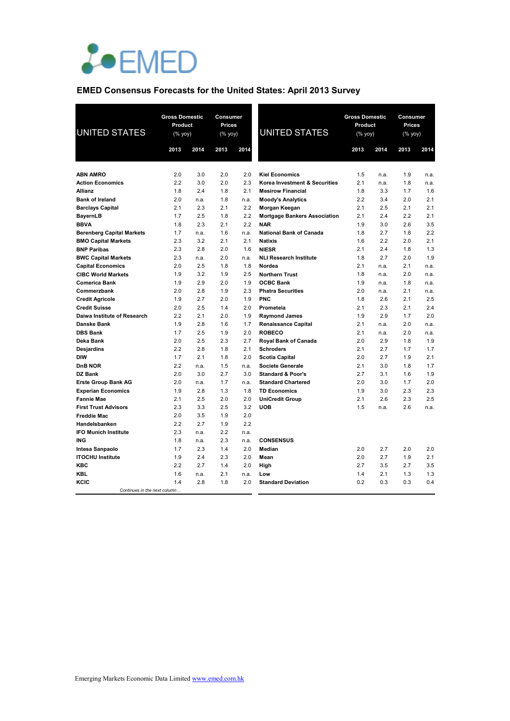

## **EMED Consensus Forecasts for the United States: April 2013 Survey**

| <b>UNITED STATES</b>                                           | <b>Gross Domestic</b><br>Product<br>$(% \mathsf{Y}^{\prime }\mathsf{Y}^{\prime }\mathsf{Y}^{\prime })$ |             | <b>Consumer</b><br><b>Prices</b><br>(% yoy) |             | <b>UNITED STATES</b>                          | <b>Gross Domestic</b><br>Product<br>(% yoy) |            | Consumer<br>Prices<br>(% yoy) |            |
|----------------------------------------------------------------|--------------------------------------------------------------------------------------------------------|-------------|---------------------------------------------|-------------|-----------------------------------------------|---------------------------------------------|------------|-------------------------------|------------|
|                                                                | 2013                                                                                                   | 2014        | 2013                                        | 2014        |                                               | 2013                                        | 2014       | 2013                          | 2014       |
|                                                                |                                                                                                        |             |                                             |             |                                               |                                             |            |                               |            |
| <b>ABN AMRO</b>                                                | 2.0                                                                                                    | 3.0         | 2.0                                         | 2.0         | <b>Kiel Economics</b>                         | 1.5                                         | n.a.       | 1.9                           | n.a.       |
| <b>Action Economics</b>                                        | 2.2                                                                                                    | 3.0         | 2.0                                         | 2.3         | Korea Investment & Securities                 | 2.1                                         | n.a.       | 1.8                           | n.a.       |
| <b>Allianz</b>                                                 | 1.8                                                                                                    | 2.4         | 1.8                                         | 2.1         | <b>Mesirow Financial</b>                      | 1.8                                         | 3.3        | 1.7                           | 1.6        |
| <b>Bank of Ireland</b>                                         | 2.0                                                                                                    | n.a.        | 1.8                                         | n.a.        | <b>Moody's Analytics</b>                      | 2.2                                         | 3.4        | 2.0                           | 2.1        |
| <b>Barclays Capital</b>                                        | 2.1                                                                                                    | 2.3         | 2.1                                         | 2.2         | Morgan Keegan                                 | 2.1                                         | 2.5        | 2.1                           | 2.1        |
| <b>BayernLB</b>                                                | 1.7                                                                                                    | 2.5         | 1.8                                         | 2.2         | <b>Mortgage Bankers Association</b>           | 2.1                                         | 2.4        | 2.2                           | 2.1        |
| <b>BBVA</b>                                                    | 1.8                                                                                                    | 2.3         | 2.1<br>1.6                                  | 2.2         | <b>NAR</b><br><b>National Bank of Canada</b>  | 1.9                                         | 3.0        | 2.6<br>1.8                    | 3.5<br>2.2 |
| <b>Berenberg Capital Markets</b><br><b>BMO Capital Markets</b> | 1.7<br>2.3                                                                                             | n.a.<br>3.2 | 2.1                                         | n.a.<br>2.1 | <b>Natixis</b>                                | 1.8<br>1.6                                  | 2.7<br>2.2 | 2.0                           | 2.1        |
| <b>BNP Paribas</b>                                             | 2.3                                                                                                    | 2.8         | 2.0                                         | 1.6         | <b>NIESR</b>                                  | 2.1                                         | 2.4        | 1.8                           | 1.3        |
| <b>BWC Capital Markets</b>                                     | 2.3                                                                                                    | n.a.        | 2.0                                         | n.a.        | <b>NLI Research Institute</b>                 | 1.8                                         | 2.7        | 2.0                           | 1.9        |
| <b>Capital Economics</b>                                       | 2.0                                                                                                    | 2.5         | 1.8                                         | 1.8         | Nordea                                        | 2.1                                         | n.a.       | 2.1                           | n.a.       |
| <b>CIBC World Markets</b>                                      | 1.9                                                                                                    | 3.2         | 1.9                                         | 2.5         | <b>Northern Trust</b>                         | 1.8                                         | n.a.       | 2.0                           | n.a.       |
| <b>Comerica Bank</b>                                           | 1.9                                                                                                    | 2.9         | 2.0                                         | 1.9         | <b>OCBC Bank</b>                              | 1.9                                         | n.a.       | 1.8                           | n.a.       |
| Commerzbank                                                    | 2.0                                                                                                    | 2.8         | 1.9                                         | 2.3         | <b>Phatra Securities</b>                      | 2.0                                         | n.a.       | 2.1                           | n.a.       |
| <b>Credit Agricole</b>                                         | 1.9                                                                                                    | 2.7         | 2.0                                         | 1.9         | PNC                                           | 1.8                                         | 2.6        | 2.1                           | 2.5        |
| <b>Credit Suisse</b>                                           | 2.0                                                                                                    | 2.5         | 1.4                                         | 2.0         | Prometeia                                     | 2.1                                         | 2.3        | 2.1                           | 2.4        |
| Daiwa Institute of Research                                    | 2.2                                                                                                    | 2.1         | 2.0                                         | 1.9         | <b>Raymond James</b>                          | 1.9                                         | 2.9        | 1.7                           | 2.0        |
| <b>Danske Bank</b>                                             | 1.9                                                                                                    | 2.8         | 1.6                                         | 1.7         | <b>Renaissance Capital</b>                    | 2.1                                         | n.a.       | 2.0                           | n.a.       |
| <b>DBS Bank</b>                                                | 1.7                                                                                                    | 2.5         | 1.9                                         | 2.0         | <b>ROBECO</b>                                 | 2.1                                         | n.a.       | 2.0                           | n.a.       |
| Deka Bank                                                      | 2.0                                                                                                    | 2.5         | 2.3                                         | 2.7         | <b>Royal Bank of Canada</b>                   | 2.0                                         | 2.9        | 1.8                           | 1.9        |
| Desjardins                                                     | 2.2                                                                                                    | 2.8         | 1.8                                         | 2.1         | <b>Schroders</b>                              | 2.1                                         | 2.7        | 1.7                           | 1.7        |
| <b>DIW</b>                                                     | 1.7                                                                                                    | 2.1         | 1.8                                         | 2.0         | <b>Scotia Capital</b>                         | 2.0                                         | 2.7        | 1.9                           | 2.1        |
| <b>DnB NOR</b>                                                 | 2.2                                                                                                    | n.a.        | 1.5                                         | n.a.        | <b>Societe Generale</b>                       | 2.1                                         | 3.0        | 1.8                           | 1.7        |
| DZ Bank                                                        | 2.0                                                                                                    | 3.0         | 2.7<br>1.7                                  | 3.0         | <b>Standard &amp; Poor's</b>                  | 2.7                                         | 3.1        | 1.6                           | 1.9        |
| <b>Erste Group Bank AG</b>                                     | 2.0<br>1.9                                                                                             | n.a.<br>2.8 | 1.3                                         | n.a.<br>1.8 | <b>Standard Chartered</b>                     | 2.0<br>1.9                                  | 3.0<br>3.0 | 1.7<br>2.3                    | 2.0<br>2.3 |
| <b>Experian Economics</b><br><b>Fannie Mae</b>                 | 2.1                                                                                                    | 2.5         | 2.0                                         | 2.0         | <b>TD Economics</b><br><b>UniCredit Group</b> | 2.1                                         | 2.6        | 2.3                           | 2.5        |
| <b>First Trust Advisors</b>                                    | 2.3                                                                                                    | 3.3         | 2.5                                         | 3.2         | <b>UOB</b>                                    | 1.5                                         | n.a.       | 2.6                           | n.a.       |
| <b>Freddie Mac</b>                                             | 2.0                                                                                                    | 3.5         | 1.9                                         | 2.0         |                                               |                                             |            |                               |            |
| Handelsbanken                                                  | 2.2                                                                                                    | 2.7         | 1.9                                         | 2.2         |                                               |                                             |            |                               |            |
| <b>IFO Munich Institute</b>                                    | 2.3                                                                                                    | n.a.        | 2.2                                         | n.a.        |                                               |                                             |            |                               |            |
| <b>ING</b>                                                     | 1.8                                                                                                    | n.a.        | 2.3                                         | n.a.        | <b>CONSENSUS</b>                              |                                             |            |                               |            |
| <b>Intesa Sanpaolo</b>                                         | 1.7                                                                                                    | 2.3         | 1.4                                         | 2.0         | Median                                        | 2.0                                         | 2.7        | 2.0                           | 2.0        |
| <b>ITOCHU Institute</b>                                        | 1.9                                                                                                    | 2.4         | 2.3                                         | 2.0         | Mean                                          | 2.0                                         | 2.7        | 1.9                           | 2.1        |
| KBC                                                            | 2.2                                                                                                    | 2.7         | 1.4                                         | 2.0         | High                                          | 2.7                                         | 3.5        | 2.7                           | 3.5        |
| <b>KBL</b>                                                     | 1.6                                                                                                    | n.a.        | 2.1                                         | n.a.        | Low                                           | 1.4                                         | 2.1        | 1.3                           | 1.3        |
| KCIC                                                           | 1.4                                                                                                    | 2.8         | 1.8                                         | 2.0         | <b>Standard Deviation</b>                     | 0.2                                         | 0.3        | 0.3                           | 0.4        |
| Continues in the next column                                   |                                                                                                        |             |                                             |             |                                               |                                             |            |                               |            |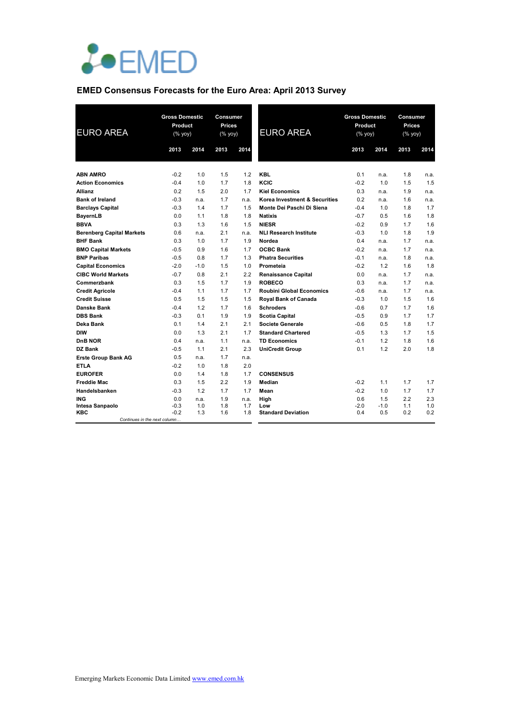

## **EMED Consensus Forecasts for the Euro Area: April 2013 Survey**

| <b>EURO AREA</b>                    | <b>Gross Domestic</b><br>Product<br>$(% \mathsf{Y}^{\prime }\mathsf{Y}^{\prime }\mathsf{Y}^{\prime })$ |        | Consumer<br><b>Prices</b><br>(% yoy) |      | <b>EURO AREA</b>                | <b>Gross Domestic</b><br>Product<br>(% |        | Consumer<br>Prices<br>(% yoy) |      |
|-------------------------------------|--------------------------------------------------------------------------------------------------------|--------|--------------------------------------|------|---------------------------------|----------------------------------------|--------|-------------------------------|------|
|                                     | 2013                                                                                                   | 2014   | 2013                                 | 2014 |                                 | 2013                                   | 2014   | 2013                          | 2014 |
| <b>ABN AMRO</b>                     | $-0.2$                                                                                                 | 1.0    | 1.5                                  | 1.2  | <b>KBL</b>                      | 0.1                                    | n.a.   | 1.8                           | n.a. |
| <b>Action Economics</b>             | $-0.4$                                                                                                 | 1.0    | 1.7                                  | 1.8  | KCIC                            | $-0.2$                                 | 1.0    | 1.5                           | 1.5  |
| <b>Allianz</b>                      | 0.2                                                                                                    | 1.5    | 2.0                                  | 1.7  | <b>Kiel Economics</b>           | 0.3                                    | n.a.   | 1.9                           | n.a. |
| <b>Bank of Ireland</b>              | $-0.3$                                                                                                 | n.a.   | 1.7                                  | n.a. | Korea Investment & Securities   | 0.2                                    | n.a.   | 1.6                           | n.a. |
| <b>Barclays Capital</b>             | $-0.3$                                                                                                 | 1.4    | 1.7                                  | 1.5  | Monte Dei Paschi Di Siena       | $-0.4$                                 | 1.0    | 1.8                           | 1.7  |
| <b>BayernLB</b>                     | 0.0                                                                                                    | 1.1    | 1.8                                  | 1.8  | <b>Natixis</b>                  | $-0.7$                                 | 0.5    | 1.6                           | 1.8  |
| <b>BBVA</b>                         | 0.3                                                                                                    | 1.3    | 1.6                                  | 1.5  | <b>NIESR</b>                    | $-0.2$                                 | 0.9    | 1.7                           | 1.6  |
| <b>Berenberg Capital Markets</b>    | 0.6                                                                                                    | n.a.   | 2.1                                  | n.a. | <b>NLI Research Institute</b>   | $-0.3$                                 | 1.0    | 1.8                           | 1.9  |
| <b>BHF Bank</b>                     | 0.3                                                                                                    | 1.0    | 1.7                                  | 1.9  | Nordea                          | 0.4                                    | n.a.   | 1.7                           | n.a. |
| <b>BMO Capital Markets</b>          | $-0.5$                                                                                                 | 0.9    | 1.6                                  | 1.7  | <b>OCBC Bank</b>                | $-0.2$                                 | n.a.   | 1.7                           | n.a. |
| <b>BNP Paribas</b>                  | $-0.5$                                                                                                 | 0.8    | 1.7                                  | 1.3  | <b>Phatra Securities</b>        | $-0.1$                                 | n.a.   | 1.8                           | n.a. |
| <b>Capital Economics</b>            | $-2.0$                                                                                                 | $-1.0$ | 1.5                                  | 1.0  | Prometeia                       | $-0.2$                                 | 1.2    | 1.6                           | 1.8  |
| <b>CIBC World Markets</b>           | $-0.7$                                                                                                 | 0.8    | 2.1                                  | 2.2  | <b>Renaissance Capital</b>      | 0.0                                    | n.a.   | 1.7                           | n.a. |
| Commerzbank                         | 0.3                                                                                                    | 1.5    | 1.7                                  | 1.9  | <b>ROBECO</b>                   | 0.3                                    | n.a.   | 1.7                           | n.a. |
| <b>Credit Agricole</b>              | $-0.4$                                                                                                 | 1.1    | 1.7                                  | 1.7  | <b>Roubini Global Economics</b> | $-0.6$                                 | n.a.   | 1.7                           | n.a. |
| <b>Credit Suisse</b>                | 0.5                                                                                                    | 1.5    | 1.5                                  | 1.5  | Royal Bank of Canada            | $-0.3$                                 | 1.0    | 1.5                           | 1.6  |
| Danske Bank                         | $-0.4$                                                                                                 | 1.2    | 1.7                                  | 1.6  | <b>Schroders</b>                | $-0.6$                                 | 0.7    | 1.7                           | 1.6  |
| <b>DBS Bank</b>                     | $-0.3$                                                                                                 | 0.1    | 1.9                                  | 1.9  | <b>Scotia Capital</b>           | $-0.5$                                 | 0.9    | 1.7                           | 1.7  |
| Deka Bank                           | 0.1                                                                                                    | 1.4    | 2.1                                  | 2.1  | <b>Societe Generale</b>         | $-0.6$                                 | 0.5    | 1.8                           | 1.7  |
| <b>DIW</b>                          | 0.0                                                                                                    | 1.3    | 2.1                                  | 1.7  | <b>Standard Chartered</b>       | $-0.5$                                 | 1.3    | 1.7                           | 1.5  |
| DnB NOR                             | 0.4                                                                                                    | n.a.   | 1.1                                  | n.a. | <b>TD Economics</b>             | $-0.1$                                 | 1.2    | 1.8                           | 1.6  |
| DZ Bank                             | $-0.5$                                                                                                 | 1.1    | 2.1                                  | 2.3  | <b>UniCredit Group</b>          | 0.1                                    | 1.2    | 2.0                           | 1.8  |
| <b>Erste Group Bank AG</b>          | 0.5                                                                                                    | n.a.   | 1.7                                  | n.a. |                                 |                                        |        |                               |      |
| <b>ETLA</b>                         | $-0.2$                                                                                                 | 1.0    | 1.8                                  | 2.0  |                                 |                                        |        |                               |      |
| <b>EUROFER</b>                      | 0.0                                                                                                    | 1.4    | 1.8                                  | 1.7  | <b>CONSENSUS</b>                |                                        |        |                               |      |
| <b>Freddie Mac</b>                  | 0.3                                                                                                    | 1.5    | 2.2                                  | 1.9  | Median                          | $-0.2$                                 | 1.1    | 1.7                           | 1.7  |
| Handelsbanken                       | $-0.3$                                                                                                 | 1.2    | 1.7                                  | 1.7  | Mean                            | $-0.2$                                 | 1.0    | 1.7                           | 1.7  |
| <b>ING</b>                          | 0.0                                                                                                    | n.a.   | 1.9                                  | n.a. | High                            | 0.6                                    | 1.5    | 2.2                           | 2.3  |
| Intesa Sanpaolo                     | $-0.3$                                                                                                 | 1.0    | 1.8                                  | 1.7  | Low                             | $-2.0$                                 | $-1.0$ | 1.1                           | 1.0  |
| KBC<br>Continues in the next column | $-0.2$                                                                                                 | 1.3    | 1.6                                  | 1.8  | <b>Standard Deviation</b>       | 0.4                                    | 0.5    | 0.2                           | 0.2  |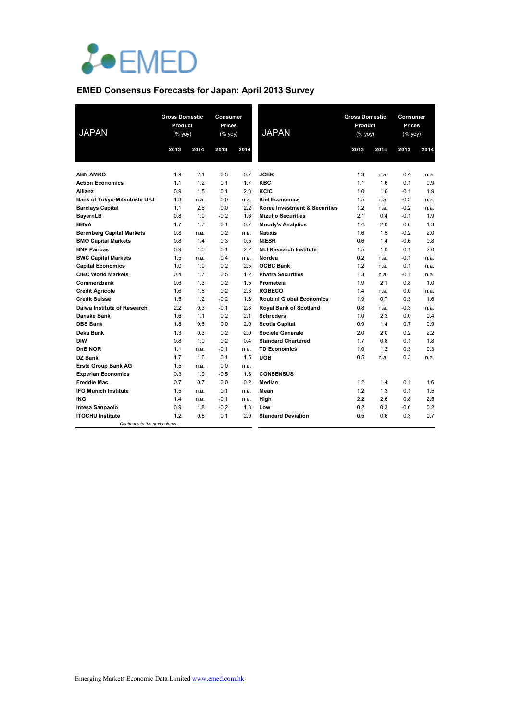

## **EMED Consensus Forecasts for Japan: April 2013 Survey**

| <b>JAPAN</b>                     | <b>Gross Domestic</b><br>Product<br>$(% \mathsf{Y}^{\prime }\mathsf{Y}^{\prime }\mathsf{Y}^{\prime })$ |      | <b>Consumer</b><br><b>Prices</b><br>(% yoy) |      | <b>JAPAN</b>                    | <b>Gross Domestic</b><br>Product<br>$(\%$ yoy) |      | <b>Consumer</b><br><b>Prices</b><br>$(% \overline{y})$ (% yoy) |      |
|----------------------------------|--------------------------------------------------------------------------------------------------------|------|---------------------------------------------|------|---------------------------------|------------------------------------------------|------|----------------------------------------------------------------|------|
|                                  | 2013                                                                                                   | 2014 | 2013                                        | 2014 |                                 | 2013                                           | 2014 | 2013                                                           | 2014 |
| <b>ABN AMRO</b>                  | 1.9                                                                                                    | 2.1  | 0.3                                         | 0.7  | <b>JCER</b>                     | 1.3                                            | n.a. | 0.4                                                            | n.a. |
| <b>Action Economics</b>          | 1.1                                                                                                    | 1.2  | 0.1                                         | 1.7  | <b>KBC</b>                      | 1.1                                            | 1.6  | 0.1                                                            | 0.9  |
| <b>Allianz</b>                   | 0.9                                                                                                    | 1.5  | 0.1                                         | 2.3  | KCIC                            | 1.0                                            | 1.6  | $-0.1$                                                         | 1.9  |
| Bank of Tokyo-Mitsubishi UFJ     | 1.3                                                                                                    | n.a. | 0.0                                         | n.a. | <b>Kiel Economics</b>           | 1.5                                            | n.a. | $-0.3$                                                         | n.a. |
| <b>Barclays Capital</b>          | 1.1                                                                                                    | 2.6  | 0.0                                         | 2.2  | Korea Investment & Securities   | 1.2                                            | n.a. | $-0.2$                                                         | n.a. |
| BayernLB                         | 0.8                                                                                                    | 1.0  | $-0.2$                                      | 1.6  | <b>Mizuho Securities</b>        | 2.1                                            | 0.4  | $-0.1$                                                         | 1.9  |
| <b>BBVA</b>                      | 1.7                                                                                                    | 1.7  | 0.1                                         | 0.7  | <b>Moody's Analytics</b>        | 1.4                                            | 2.0  | 0.6                                                            | 1.3  |
| <b>Berenberg Capital Markets</b> | 0.8                                                                                                    | n.a. | 0.2                                         | n.a. | <b>Natixis</b>                  | 1.6                                            | 1.5  | $-0.2$                                                         | 2.0  |
| <b>BMO Capital Markets</b>       | 0.8                                                                                                    | 1.4  | 0.3                                         | 0.5  | <b>NIESR</b>                    | 0.6                                            | 1.4  | $-0.6$                                                         | 0.8  |
| <b>BNP Paribas</b>               | 0.9                                                                                                    | 1.0  | 0.1                                         | 2.2  | <b>NLI Research Institute</b>   | 1.5                                            | 1.0  | 0.1                                                            | 2.0  |
| <b>BWC Capital Markets</b>       | 1.5                                                                                                    | n.a. | 0.4                                         | n.a. | Nordea                          | 0.2                                            | n.a. | $-0.1$                                                         | n.a. |
| <b>Capital Economics</b>         | 1.0                                                                                                    | 1.0  | 0.2                                         | 2.5  | <b>OCBC Bank</b>                | 1.2                                            | n.a. | 0.1                                                            | n.a. |
| <b>CIBC World Markets</b>        | 0.4                                                                                                    | 1.7  | 0.5                                         | 1.2  | <b>Phatra Securities</b>        | 1.3                                            | n.a. | $-0.1$                                                         | n.a. |
| Commerzbank                      | 0.6                                                                                                    | 1.3  | 0.2                                         | 1.5  | Prometeia                       | 1.9                                            | 2.1  | 0.8                                                            | 1.0  |
| <b>Credit Agricole</b>           | 1.6                                                                                                    | 1.6  | 0.2                                         | 2.3  | <b>ROBECO</b>                   | 1.4                                            | n.a. | 0.0                                                            | n.a. |
| <b>Credit Suisse</b>             | 1.5                                                                                                    | 1.2  | $-0.2$                                      | 1.8  | <b>Roubini Global Economics</b> | 1.9                                            | 0.7  | 0.3                                                            | 1.6  |
| Daiwa Institute of Research      | 2.2                                                                                                    | 0.3  | $-0.1$                                      | 2.3  | <b>Royal Bank of Scotland</b>   | 0.8                                            | n.a. | $-0.3$                                                         | n.a. |
| <b>Danske Bank</b>               | 1.6                                                                                                    | 1.1  | 0.2                                         | 2.1  | <b>Schroders</b>                | 1.0                                            | 2.3  | 0.0                                                            | 0.4  |
| <b>DBS Bank</b>                  | 1.8                                                                                                    | 0.6  | 0.0                                         | 2.0  | <b>Scotia Capital</b>           | 0.9                                            | 1.4  | 0.7                                                            | 0.9  |
| Deka Bank                        | 1.3                                                                                                    | 0.3  | 0.2                                         | 2.0  | <b>Societe Generale</b>         | 2.0                                            | 2.0  | 0.2                                                            | 2.2  |
| DIW                              | 0.8                                                                                                    | 1.0  | 0.2                                         | 0.4  | <b>Standard Chartered</b>       | 1.7                                            | 0.8  | 0.1                                                            | 1.8  |
| <b>DnB NOR</b>                   | 1.1                                                                                                    | n.a. | $-0.1$                                      | n.a. | <b>TD Economics</b>             | 1.0                                            | 1.2  | 0.3                                                            | 0.3  |
| DZ Bank                          | 1.7                                                                                                    | 1.6  | 0.1                                         | 1.5  | <b>UOB</b>                      | 0.5                                            | n.a. | 0.3                                                            | n.a. |
| <b>Erste Group Bank AG</b>       | 1.5                                                                                                    | n.a. | 0.0                                         | n.a. |                                 |                                                |      |                                                                |      |
| <b>Experian Economics</b>        | 0.3                                                                                                    | 1.9  | $-0.5$                                      | 1.3  | <b>CONSENSUS</b>                |                                                |      |                                                                |      |
| <b>Freddie Mac</b>               | 0.7                                                                                                    | 0.7  | 0.0                                         | 0.2  | Median                          | 1.2                                            | 1.4  | 0.1                                                            | 1.6  |
| <b>IFO Munich Institute</b>      | 1.5                                                                                                    | n.a. | 0.1                                         | n.a. | Mean                            | 1.2                                            | 1.3  | 0.1                                                            | 1.5  |
| <b>ING</b>                       | 1.4                                                                                                    | n.a. | $-0.1$                                      | n.a. | High                            | 2.2                                            | 2.6  | 0.8                                                            | 2.5  |
| <b>Intesa Sanpaolo</b>           | 0.9                                                                                                    | 1.8  | $-0.2$                                      | 1.3  | Low                             | 0.2                                            | 0.3  | $-0.6$                                                         | 0.2  |
| <b>ITOCHU Institute</b>          | 1.2                                                                                                    | 0.8  | 0.1                                         | 2.0  | <b>Standard Deviation</b>       | 0.5                                            | 0.6  | 0.3                                                            | 0.7  |
| Continues in the next column     |                                                                                                        |      |                                             |      |                                 |                                                |      |                                                                |      |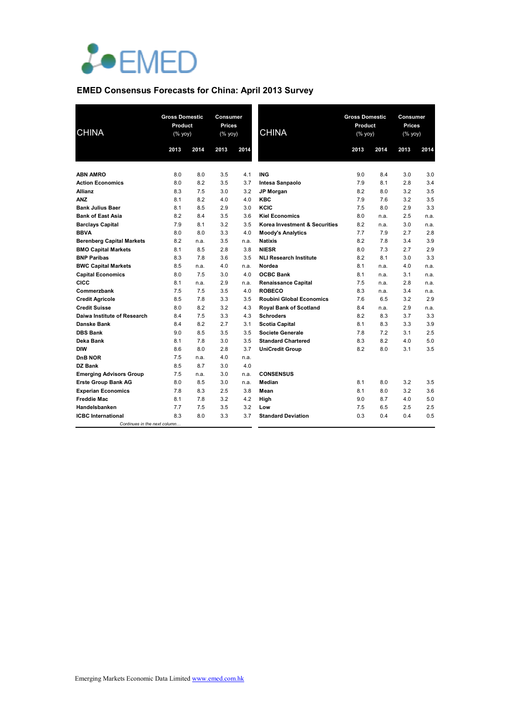

## **EMED Consensus Forecasts for China: April 2013 Survey**

| <b>CHINA</b>                     | <b>Gross Domestic</b><br>Product<br>$(% \mathsf{Y}^{\prime }\mathsf{Y}^{\prime }\mathsf{Y}^{\prime })$ |      | <b>Consumer</b><br><b>Prices</b><br>$(% \mathsf{Y}^{\prime }\mathsf{Y}^{\prime }\mathsf{Y}^{\prime })$ |      | <b>CHINA</b>                    | <b>Gross Domestic</b><br>Product<br>(% yoy) |      | <b>Consumer</b><br><b>Prices</b><br>(% yoy) |      |
|----------------------------------|--------------------------------------------------------------------------------------------------------|------|--------------------------------------------------------------------------------------------------------|------|---------------------------------|---------------------------------------------|------|---------------------------------------------|------|
|                                  | 2013                                                                                                   | 2014 | 2013                                                                                                   | 2014 |                                 | 2013                                        | 2014 | 2013                                        | 2014 |
| <b>ABN AMRO</b>                  | 8.0                                                                                                    | 8.0  | 3.5                                                                                                    | 4.1  | <b>ING</b>                      | 9.0                                         | 8.4  | 3.0                                         | 3.0  |
| <b>Action Economics</b>          | 8.0                                                                                                    | 8.2  | 3.5                                                                                                    | 3.7  | Intesa Sanpaolo                 | 7.9                                         | 8.1  | 2.8                                         | 3.4  |
| Allianz                          | 8.3                                                                                                    | 7.5  | 3.0                                                                                                    | 3.2  | <b>JP Morgan</b>                | 8.2                                         | 8.0  | 3.2                                         | 3.5  |
| <b>ANZ</b>                       | 8.1                                                                                                    | 8.2  | 4.0                                                                                                    | 4.0  | <b>KBC</b>                      | 7.9                                         | 7.6  | 3.2                                         | 3.5  |
| <b>Bank Julius Baer</b>          | 8.1                                                                                                    | 8.5  | 2.9                                                                                                    | 3.0  | KCIC                            | 7.5                                         | 8.0  | 2.9                                         | 3.3  |
| <b>Bank of East Asia</b>         | 8.2                                                                                                    | 8.4  | 3.5                                                                                                    | 3.6  | <b>Kiel Economics</b>           | 8.0                                         | n.a. | 2.5                                         | n.a. |
| <b>Barclays Capital</b>          | 7.9                                                                                                    | 8.1  | 3.2                                                                                                    | 3.5  | Korea Investment & Securities   | 8.2                                         | n.a. | 3.0                                         | n.a. |
| <b>BBVA</b>                      | 8.0                                                                                                    | 8.0  | 3.3                                                                                                    | 4.0  | <b>Moody's Analytics</b>        | 7.7                                         | 7.9  | 2.7                                         | 2.8  |
| <b>Berenberg Capital Markets</b> | 8.2                                                                                                    | n.a. | 3.5                                                                                                    | n.a. | <b>Natixis</b>                  | 8.2                                         | 7.8  | 3.4                                         | 3.9  |
| <b>BMO Capital Markets</b>       | 8.1                                                                                                    | 8.5  | 2.8                                                                                                    | 3.8  | <b>NIESR</b>                    | 8.0                                         | 7.3  | 2.7                                         | 2.9  |
| <b>BNP Paribas</b>               | 8.3                                                                                                    | 7.8  | 3.6                                                                                                    | 3.5  | <b>NLI Research Institute</b>   | 8.2                                         | 8.1  | 3.0                                         | 3.3  |
| <b>BWC Capital Markets</b>       | 8.5                                                                                                    | n.a. | 4.0                                                                                                    | n.a. | Nordea                          | 8.1                                         | n.a. | 4.0                                         | n.a. |
| <b>Capital Economics</b>         | 8.0                                                                                                    | 7.5  | 3.0                                                                                                    | 4.0  | <b>OCBC Bank</b>                | 8.1                                         | n.a. | 3.1                                         | n.a. |
| CICC                             | 8.1                                                                                                    | n.a. | 2.9                                                                                                    | n.a. | <b>Renaissance Capital</b>      | 7.5                                         | n.a. | 2.8                                         | n.a. |
| Commerzbank                      | 7.5                                                                                                    | 7.5  | 3.5                                                                                                    | 4.0  | <b>ROBECO</b>                   | 8.3                                         | n.a. | 3.4                                         | n.a. |
| <b>Credit Agricole</b>           | 8.5                                                                                                    | 7.8  | 3.3                                                                                                    | 3.5  | <b>Roubini Global Economics</b> | 7.6                                         | 6.5  | 3.2                                         | 2.9  |
| <b>Credit Suisse</b>             | 8.0                                                                                                    | 8.2  | 3.2                                                                                                    | 4.3  | <b>Royal Bank of Scotland</b>   | 8.4                                         | n.a. | 2.9                                         | n.a. |
| Daiwa Institute of Research      | 8.4                                                                                                    | 7.5  | 3.3                                                                                                    | 4.3  | <b>Schroders</b>                | 8.2                                         | 8.3  | 3.7                                         | 3.3  |
| <b>Danske Bank</b>               | 8.4                                                                                                    | 8.2  | 2.7                                                                                                    | 3.1  | <b>Scotia Capital</b>           | 8.1                                         | 8.3  | 3.3                                         | 3.9  |
| <b>DBS Bank</b>                  | 9.0                                                                                                    | 8.5  | 3.5                                                                                                    | 3.5  | <b>Societe Generale</b>         | 7.8                                         | 7.2  | 3.1                                         | 2.5  |
| Deka Bank                        | 8.1                                                                                                    | 7.8  | 3.0                                                                                                    | 3.5  | <b>Standard Chartered</b>       | 8.3                                         | 8.2  | 4.0                                         | 5.0  |
| <b>DIW</b>                       | 8.6                                                                                                    | 8.0  | 2.8                                                                                                    | 3.7  | <b>UniCredit Group</b>          | 8.2                                         | 8.0  | 3.1                                         | 3.5  |
| <b>DnB NOR</b>                   | 7.5                                                                                                    | n.a. | 4.0                                                                                                    | n.a. |                                 |                                             |      |                                             |      |
| <b>DZ Bank</b>                   | 8.5                                                                                                    | 8.7  | 3.0                                                                                                    | 4.0  |                                 |                                             |      |                                             |      |
| <b>Emerging Advisors Group</b>   | 7.5                                                                                                    | n.a. | 3.0                                                                                                    | n.a. | <b>CONSENSUS</b>                |                                             |      |                                             |      |
| <b>Erste Group Bank AG</b>       | 8.0                                                                                                    | 8.5  | 3.0                                                                                                    | n.a. | Median                          | 8.1                                         | 8.0  | 3.2                                         | 3.5  |
| <b>Experian Economics</b>        | 7.8                                                                                                    | 8.3  | 2.5                                                                                                    | 3.8  | Mean                            | 8.1                                         | 8.0  | 3.2                                         | 3.6  |
| <b>Freddie Mac</b>               | 8.1                                                                                                    | 7.8  | 3.2                                                                                                    | 4.2  | High                            | 9.0                                         | 8.7  | 4.0                                         | 5.0  |
| Handelsbanken                    | 7.7                                                                                                    | 7.5  | 3.5                                                                                                    | 3.2  | Low                             | 7.5                                         | 6.5  | 2.5                                         | 2.5  |
| <b>ICBC</b> International        | 8.3                                                                                                    | 8.0  | 3.3                                                                                                    | 3.7  | <b>Standard Deviation</b>       | 0.3                                         | 0.4  | 0.4                                         | 0.5  |
| Continues in the next column     |                                                                                                        |      |                                                                                                        |      |                                 |                                             |      |                                             |      |